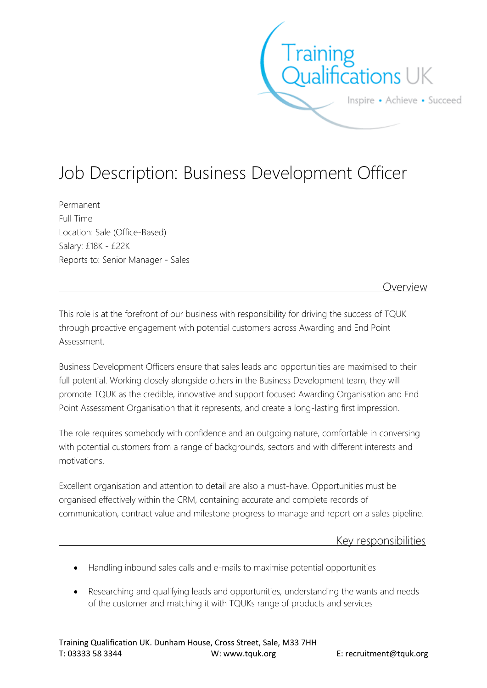

## Job Description: Business Development Officer

Permanent Full Time Location: Sale (Office-Based) Salary: £18K - £22K Reports to: Senior Manager - Sales

Overview

This role is at the forefront of our business with responsibility for driving the success of TQUK through proactive engagement with potential customers across Awarding and End Point Assessment.

Business Development Officers ensure that sales leads and opportunities are maximised to their full potential. Working closely alongside others in the Business Development team, they will promote TQUK as the credible, innovative and support focused Awarding Organisation and End Point Assessment Organisation that it represents, and create a long-lasting first impression.

The role requires somebody with confidence and an outgoing nature, comfortable in conversing with potential customers from a range of backgrounds, sectors and with different interests and motivations.

Excellent organisation and attention to detail are also a must-have. Opportunities must be organised effectively within the CRM, containing accurate and complete records of communication, contract value and milestone progress to manage and report on a sales pipeline.

Key responsibilities

- Handling inbound sales calls and e-mails to maximise potential opportunities
- Researching and qualifying leads and opportunities, understanding the wants and needs of the customer and matching it with TQUKs range of products and services